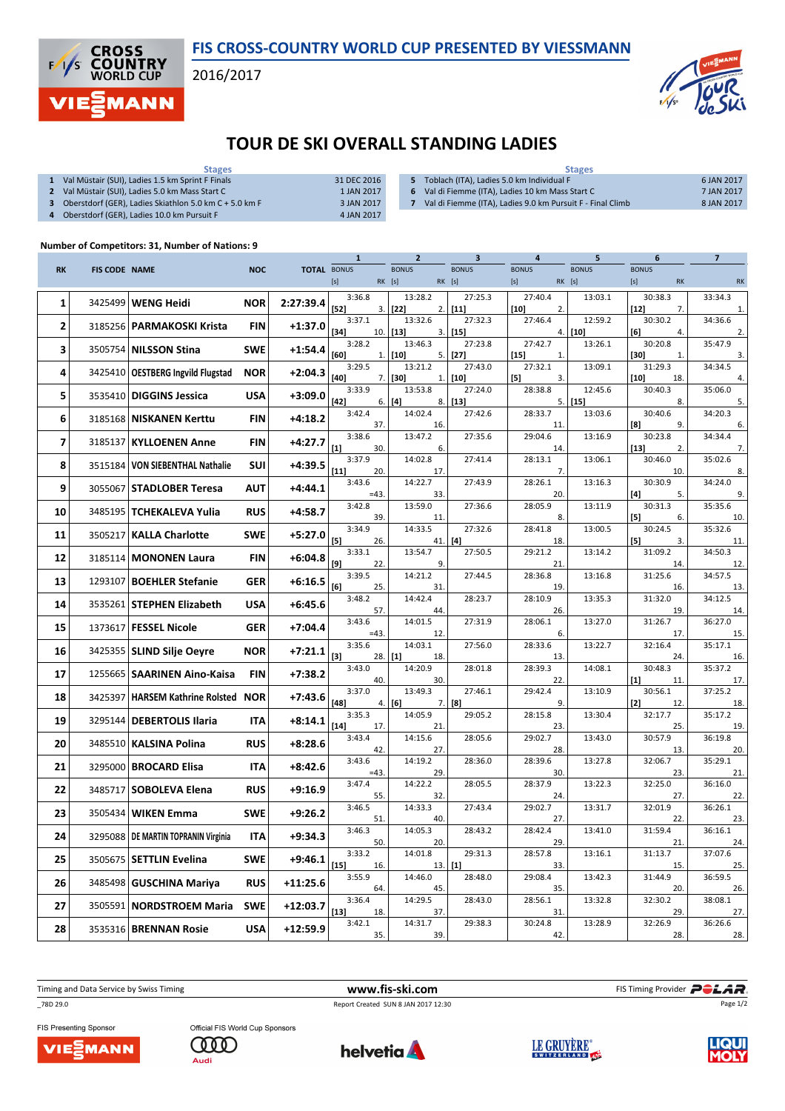

2016/2017

**CROSS<br>COUNTRY**<br>WORLD CUP **MANN** 

 $\overline{\phantom{a}}$ 



## TOUR DE SKI OVERALL STANDING LADIES

| <b>Stages</b>                                          |             | <b>Stages</b>                                              |            |  |  |  |
|--------------------------------------------------------|-------------|------------------------------------------------------------|------------|--|--|--|
| Val Müstair (SUI), Ladies 1.5 km Sprint F Finals       | 31 DEC 2016 | 5 Toblach (ITA), Ladies 5.0 km Individual F                | 6 JAN 2017 |  |  |  |
| Val Müstair (SUI). Ladies 5.0 km Mass Start C          | 1 JAN 2017  | 6 Val di Fiemme (ITA). Ladies 10 km Mass Start C           | 7 JAN 2017 |  |  |  |
| Oberstdorf (GER), Ladies Skiathlon 5.0 km C + 5.0 km F | 3 JAN 2017  | Val di Fiemme (ITA), Ladies 9.0 km Pursuit F - Final Climb | 8 JAN 2017 |  |  |  |
| Oberstdorf (GER), Ladies 10.0 km Pursuit F             | 4 JAN 2017  |                                                            |            |  |  |  |

## Number of Competitors: 31, Number of Nations: 9

|           |                      |                                       |            |                    | $\mathbf{1}$            | $\overline{2}$           | 3                      | 4                               | 5                 | 6                         | 7              |
|-----------|----------------------|---------------------------------------|------------|--------------------|-------------------------|--------------------------|------------------------|---------------------------------|-------------------|---------------------------|----------------|
| <b>RK</b> | <b>FIS CODE NAME</b> |                                       | <b>NOC</b> | <b>TOTAL BONUS</b> | $[s]$                   | <b>BONUS</b><br>RK [s]   | <b>BONUS</b><br>RK [s] | <b>BONUS</b><br>$[s]$<br>RK [s] | <b>BONUS</b>      | <b>BONUS</b><br><b>RK</b> | RK             |
| 1         |                      | 3425499 WENG Heidi                    | <b>NOR</b> | 2:27:39.4          | 3:36.8<br>$[52]$<br>3.  | 13:28.2<br>2.1<br>$[22]$ | 27:25.3<br>$[11]$      | 27:40.4<br>$[10]$<br>2.         | 13:03.1           | 30:38.3<br>7.<br>$[12]$   | 33:34.3<br>1.  |
| 2         |                      | 3185256   PARMAKOSKI Krista           | <b>FIN</b> | $+1:37.0$          | 3:37.1<br>$[34]$<br>10. | 13:32.6<br>$[13]$<br>3.  | 27:32.3<br>$[15]$      | 27:46.4<br>4.                   | 12:59.2<br>$[10]$ | 30:30.2<br>[6]<br>4.      | 34:36.6<br>2.  |
| 3         |                      | 3505754 NILSSON Stina                 | <b>SWE</b> | $+1:54.4$          | 3:28.2<br>[60]          | 13:46.3<br>$[10]$        | 27:23.8<br>$[27]$      | 27:42.7                         | 13:26.1           | 30:20.8<br>[30]           | 35:47.9        |
| 4         | 3425410              | OESTBERG Ingvild Flugstad             | <b>NOR</b> | $+2:04.3$          | 1.<br>3:29.5            | 5.<br>13:21.2            | 27:43.0                | $[15]$<br>1.<br>27:32.1         | 13:09.1           | 1.<br>31:29.3             | 3.<br>34:34.5  |
| 5         |                      | 3535410   DIGGINS Jessica             | <b>USA</b> | $+3:09.0$          | [40]<br>7.<br>3:33.9    | $[30]$<br>1.<br>13:53.8  | $[10]$<br>27:24.0      | $[5]$<br>3.<br>28:38.8          | 12:45.6           | $[10]$<br>18.<br>30:40.3  | 4.<br>35:06.0  |
|           |                      |                                       |            |                    | $[42]$<br>6.<br>3:42.4  | $[4]$<br>14:02.4         | $8.$ [13]<br>27:42.6   | 5.<br>28:33.7                   | $[15]$<br>13:03.6 | 8.<br>30:40.6             | 5.<br>34:20.3  |
| 6         |                      | 3185168   NISKANEN Kerttu             | <b>FIN</b> | $+4:18.2$          | 37.                     | 16.                      |                        | 11.                             |                   | $^{[8]}$<br>9.            | 6.             |
| 7         | 3185137              | <b>KYLLOENEN Anne</b>                 | <b>FIN</b> | $+4:27.7$          | 3:38.6<br>[1]<br>30.    | 13:47.2<br>6.            | 27:35.6                | 29:04.6<br>14.                  | 13:16.9           | 30:23.8<br>$[13]$<br>2.   | 34:34.4<br>7.  |
| 8         | 3515184              | <b>VON SIEBENTHAL Nathalie</b>        | <b>SUI</b> | $+4:39.5$          | 3:37.9<br>$[11]$<br>20. | 14:02.8<br>17.           | 27:41.4                | 28:13.1<br>7.                   | 13:06.1           | 30:46.0<br>10.            | 35:02.6<br>8.  |
| 9         |                      | 3055067 STADLOBER Teresa              | <b>AUT</b> | $+4:44.1$          | 3:43.6<br>$=43.$        | 14:22.7<br>33.           | 27:43.9                | 28:26.1<br>20.                  | 13:16.3           | 30:30.9<br>[4]<br>5.      | 34:24.0<br>9.  |
| 10        |                      | 3485195   TCHEKALEVA Yulia            | <b>RUS</b> | $+4:58.7$          | 3:42.8                  | 13:59.0                  | 27:36.6                | 28:05.9                         | 13:11.9           | 30:31.3                   | 35:35.6        |
|           |                      |                                       |            |                    | 39.<br>3:34.9           | 11.<br>14:33.5           | 27:32.6                | 8.<br>28:41.8                   | 13:00.5           | [5]<br>6.<br>30:24.5      | 10.<br>35:32.6 |
| 11        | 3505217              | <b>KALLA Charlotte</b>                | <b>SWE</b> | $+5:27.0$          | [5]<br>26.<br>3:33.1    | 13:54.7                  | $41.$ [4]<br>27:50.5   | 18.<br>29:21.2                  | 13:14.2           | $[5]$<br>3.<br>31:09.2    | 11.<br>34:50.3 |
| 12        |                      | 3185114   MONONEN Laura               | <b>FIN</b> | $+6:04.8$          | [9]<br>22.              | 9.                       |                        | 21.                             |                   | 14.                       | 12.            |
| 13        | 1293107              | <b>BOEHLER Stefanie</b>               | <b>GER</b> | $+6:16.5$          | 3:39.5<br>[6]<br>25.    | 14:21.2<br>31.           | 27:44.5                | 28:36.8<br>19.                  | 13:16.8           | 31:25.6<br>16.            | 34:57.5<br>13. |
| 14        |                      | 3535261 STEPHEN Elizabeth             | <b>USA</b> | $+6:45.6$          | 3:48.2<br>57.           | 14:42.4<br>44.           | 28:23.7                | 28:10.9<br>26.                  | 13:35.3           | 31:32.0<br>19.            | 34:12.5<br>14. |
| 15        | 1373617              | <b>FESSEL Nicole</b>                  | <b>GER</b> | $+7:04.4$          | 3:43.6<br>$=43.$        | 14:01.5<br>12.           | 27:31.9                | 28:06.1<br>6.                   | 13:27.0           | 31:26.7<br>17.            | 36:27.0        |
| 16        |                      | 3425355   SLIND Silje Oeyre           | <b>NOR</b> | $+7:21.1$          | 3:35.6                  | 14:03.1                  | 27:56.0                | 28:33.6                         | 13:22.7           | 32:16.4                   | 15.<br>35:17.1 |
| 17        |                      | 1255665   SAARINEN Aino-Kaisa         | <b>FIN</b> | $+7:38.2$          | $[3]$<br>28.<br>3:43.0  | $[1]$<br>18.<br>14:20.9  | 28:01.8                | 13.<br>28:39.3                  | 14:08.1           | 24.<br>30:48.3            | 16.<br>35:37.2 |
|           |                      |                                       |            |                    | 40.<br>3:37.0           | 30.<br>13:49.3           | 27:46.1                | 22.<br>29:42.4                  | 13:10.9           | [1]<br>11.<br>30:56.1     | 17.<br>37:25.2 |
| 18        | 3425397              | HARSEM Kathrine Rolsted NOR           |            | $+7:43.6$          | [48]<br>4.<br>3:35.3    | [6]<br>14:05.9           | $7.$ [8]<br>29:05.2    | 9.<br>28:15.8                   | 13:30.4           | $[2]$<br>12.<br>32:17.7   | 18.<br>35:17.2 |
| 19        | 3295144              | <b>DEBERTOLIS Ilaria</b>              | <b>ITA</b> | $+8:14.1$          | $[14]$<br>17.           | 21.                      |                        | 23.                             |                   | 25.                       | 19.            |
| 20        |                      | 3485510   KALSINA Polina              | <b>RUS</b> | $+8:28.6$          | 3:43.4<br>42.           | 14:15.6<br>27.           | 28:05.6                | 29:02.7<br>28.                  | 13:43.0           | 30:57.9<br>13.            | 36:19.8<br>20. |
| 21        |                      | 3295000   BROCARD Elisa               | <b>ITA</b> | $+8:42.6$          | 3:43.6<br>$=43.$        | 14:19.2<br>29.           | 28:36.0                | 28:39.6<br>30.                  | 13:27.8           | 32:06.7<br>23.            | 35:29.1<br>21. |
| 22        | 3485717              | <b>SOBOLEVA Elena</b>                 | <b>RUS</b> | $+9:16.9$          | 3:47.4<br>55.           | 14:22.2<br>32.           | 28:05.5                | 28:37.9<br>24.                  | 13:22.3           | 32:25.0<br>27.            | 36:16.0<br>22. |
| 23        | 3505434              | <b>WIKEN Emma</b>                     | SWE        | $+9:26.2$          | 3:46.5<br>51.           | 14:33.3<br>40.           | 27:43.4                | 29:02.7<br>27.                  | 13:31.7           | 32:01.9<br>22.            | 36:26.1<br>23. |
| 24        |                      | 3295088   DE MARTIN TOPRANIN Virginia | <b>ITA</b> | $+9:34.3$          | 3:46.3<br>50.           | 14:05.3<br>20.           | 28:43.2                | 28:42.4<br>29.                  | 13:41.0           | 31:59.4<br>21             | 36:16.1<br>24. |
| 25        |                      | 3505675   SETTLIN Evelina             | <b>SWE</b> | $+9:46.1$          | 3:33.2                  | 14:01.8                  | 29:31.3                | 28:57.8                         | 13:16.1           | 31:13.7                   | 37:07.6        |
|           |                      |                                       |            |                    | $[15]$<br>16.<br>3:55.9 | 14:46.0                  | $13.$ [1]<br>28:48.0   | 33.<br>29:08.4                  | 13:42.3           | 15.<br>31:44.9            | 25.<br>36:59.5 |
| 26        |                      | 3485498 GUSCHINA Mariya               | <b>RUS</b> | +11:25.6           | 64.<br>3:36.4           | 45.<br>14:29.5           | 28:43.0                | 35.<br>28:56.1                  | 13:32.8           | 20.<br>32:30.2            | 26.<br>38:08.1 |
| 27        |                      | 3505591   NORDSTROEM Maria            | <b>SWE</b> | $+12:03.7$         | $[13]$<br>18.           | 37.                      |                        | 31.                             |                   | 29.                       | 27.            |
| 28        |                      | 3535316   BRENNAN Rosie               | <b>USA</b> | +12:59.9           | 3:42.1<br>35.           | 14:31.7<br>39.           | 29:38.3                | 30:24.8<br>42.                  | 13:28.9           | 32:26.9<br>28.            | 36:26.6<br>28. |

\_78D 29.0 Report Created SUN 8 JAN 2017 12:30

Timing and Data Service by Swiss Timing **WWW.fis-ski.com WWW.fis-Ski.com** FIS Timing Provider **PCLAR**.



Official FIS World Cup Sponsors **COOD** Audi







Page 1/2